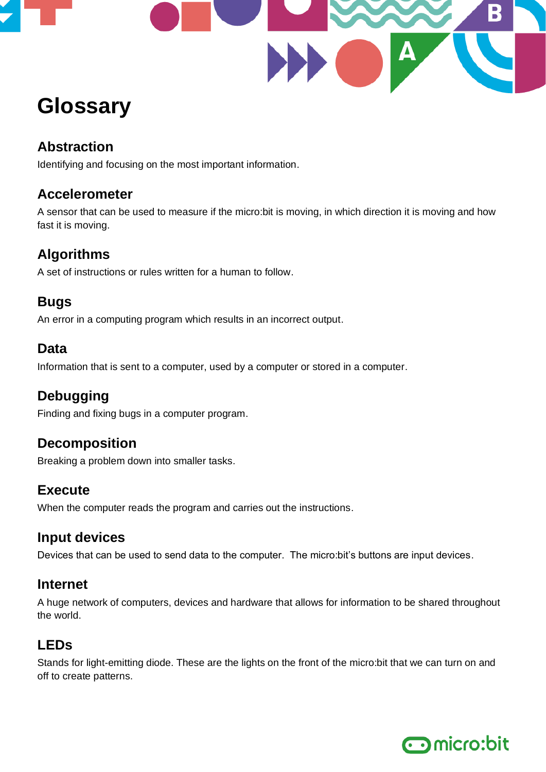

# **Glossary**

# **Abstraction**

Identifying and focusing on the most important information.

#### **Accelerometer**

A sensor that can be used to measure if the micro:bit is moving, in which direction it is moving and how fast it is moving.

# **Algorithms**

A set of instructions or rules written for a human to follow.

## **Bugs**

An error in a computing program which results in an incorrect output.

#### **Data**

Information that is sent to a computer, used by a computer or stored in a computer.

## **Debugging**

Finding and fixing bugs in a computer program.

## **Decomposition**

Breaking a problem down into smaller tasks.

## **Execute**

When the computer reads the program and carries out the instructions.

## **Input devices**

Devices that can be used to send data to the computer. The micro:bit's buttons are input devices.

#### **Internet**

A huge network of computers, devices and hardware that allows for information to be shared throughout the world.

## **LEDs**

Stands for light-emitting diode. These are the lights on the front of the micro:bit that we can turn on and off to create patterns.

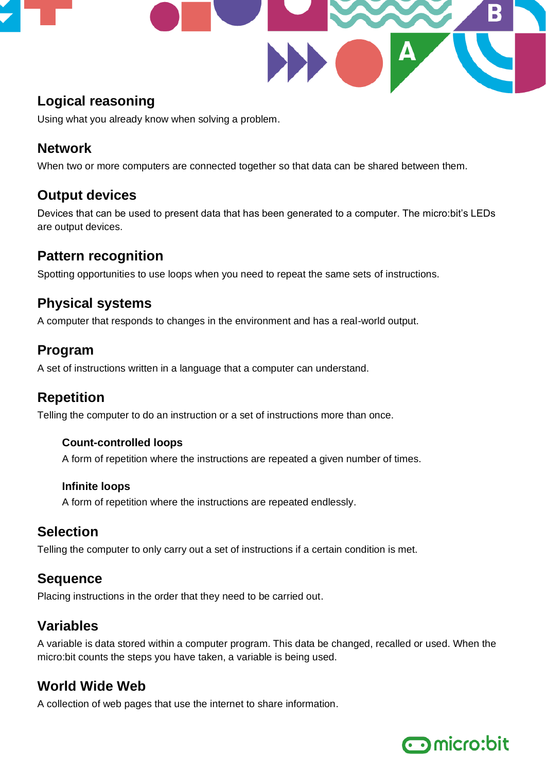

# **Logical reasoning**

Using what you already know when solving a problem.

#### **Network**

When two or more computers are connected together so that data can be shared between them.

#### **Output devices**

Devices that can be used to present data that has been generated to a computer. The micro:bit's LEDs are output devices.

#### **Pattern recognition**

Spotting opportunities to use loops when you need to repeat the same sets of instructions.

## **Physical systems**

A computer that responds to changes in the environment and has a real-world output.

#### **Program**

A set of instructions written in a language that a computer can understand.

#### **Repetition**

Telling the computer to do an instruction or a set of instructions more than once.

#### **Count-controlled loops**

A form of repetition where the instructions are repeated a given number of times.

#### **Infinite loops**

A form of repetition where the instructions are repeated endlessly.

#### **Selection**

Telling the computer to only carry out a set of instructions if a certain condition is met.

#### **Sequence**

Placing instructions in the order that they need to be carried out.

## **Variables**

A variable is data stored within a computer program. This data be changed, recalled or used. When the micro:bit counts the steps you have taken, a variable is being used.

# **World Wide Web**

A collection of web pages that use the internet to share information.